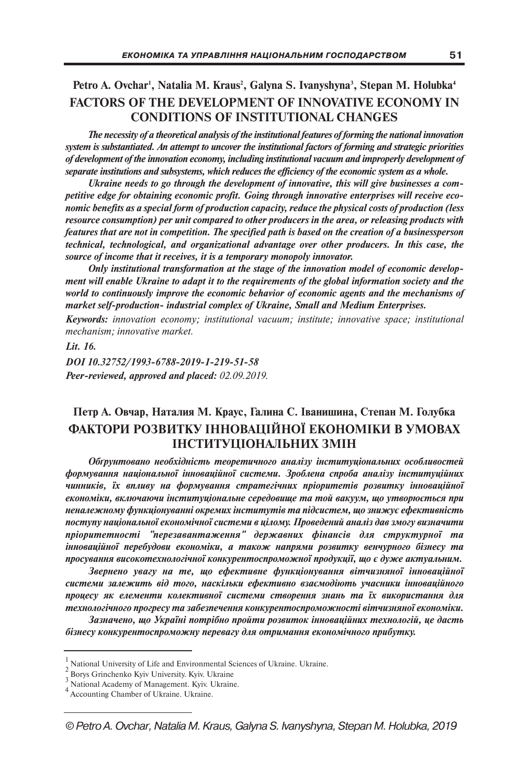## **Petro A. Ovchar1 , Natalia M. Kraus2 , Galyna S. Ivanyshyna3 , Stepan M. Holubka4 FACTORS OF THE DEVELOPMENT OF INNOVATIVE ECONOMY IN CONDITIONS OF INSTITUTIONAL CHANGES**

*The necessity of a theoretical analysis of the institutional features of forming the national innovation system is substantiated. An attempt to uncover the institutional factors of forming and strategic priorities of development of the innovation economy, including institutional vacuum and improperly development of separate institutions and subsystems, which reduces the efficiency of the economic system as a whole.*

*Ukraine needs to go through the development of innovative, this will give businesses a competitive edge for obtaining economic profit. Going through innovative enterprises will receive economic benefits as a special form of production capacity, reduce the physical costs of production (less resource consumption) per unit compared to other producers in the area, or releasing products with features that are not in competition. The specified path is based on the creation of a businessperson technical, technological, and organizational advantage over other producers. In this case, the source of income that it receives, it is a temporary monopoly innovator.*

*Only institutional transformation at the stage of the innovation model of economic development will enable Ukraine to adapt it to the requirements of the global information society and the world to continuously improve the economic behavior of economic agents and the mechanisms of market self-production- industrial complex of Ukraine, Small and Medium Enterprises.*

*Keywords: innovation economy; institutional vacuum; institute; innovative space; institutional mechanism; innovative market.*

*Lit. 16. DОІ 10.32752/1993-6788-2019-1-219-51-58 Peer-reviewed, approved and placed: 02.09.2019.*

## **Петр А. Овчар, Наталия М. Краус, Галина С. Іванишина, Степан М. Голубка ФАКТОРИ РОЗВИТКУ ІННОВАЦІЙНОЇ ЕКОНОМІКИ В УМОВАХ ІНСТИТУЦІОНАЛЬНИХ ЗМІН**

*Обґрунтовано необхідність теоретичного аналізу інституціональних особливостей формування національної інноваційної системи. Зроблена спроба аналізу інституційних чинників, їх впливу на формування стратегічних пріоритетів розвитку інноваційної економіки, включаючи інституціональне середовище та той вакуум, що утворюється при неналежному функціонуванні окремих інститутів та підсистем, що знижує ефективність поступу національної економічної системи в цілому. Проведений аналіз дав змогу визначити пріоритетності "перезавантаження" державних фінансів для структурної та інноваційної перебудови економіки, а також напрями розвитку венчурного бізнесу та просування високотехнологічної конкурентоспроможної продукції, що є дуже актуальним.*

*Звернено увагу на те, що ефективне функціонування вітчизняної інноваційної системи залежить від того, наскільки ефективно взаємодіють учасники інноваційного процесу як елементи колективної системи створення знань та їх використання для технологічного прогресу та забезпечення конкурентоспроможності вітчизняної економіки.*

*Зазначено, що Україні потрібно пройти розвиток інноваційних технологій, це дасть бізнесу конкурентоспроможну перевагу для отримання економічного прибутку.*

 $1 \times 2$  Borys Grinchenko Kyiv University. Kyiv. Ukraine<br>  $2 \text{ Boys Grinchenko Kyiv University. Kyiv. Ukraine}$ <br>  $3 \text{ National Academy of Management. Kyiv. Ukraine}$ .  $4 \text{Accounting Chamber of Ukraine. Ukraine}$ .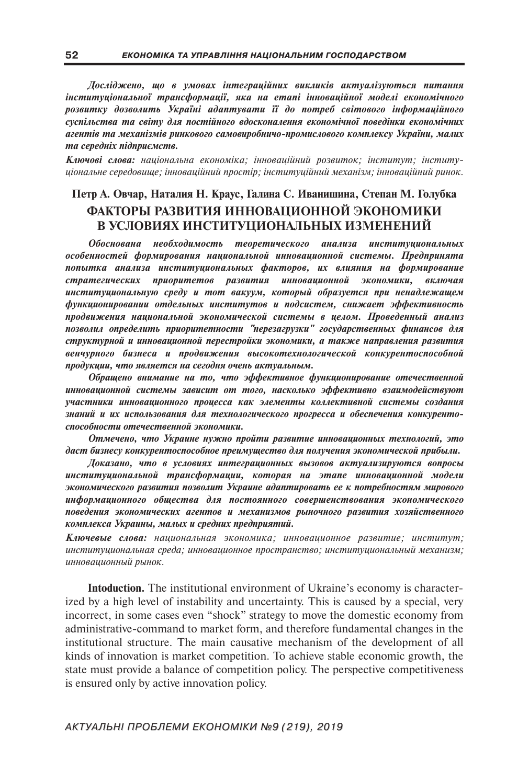*Досліджено, що в умовах інтеграційних викликів актуалізуються питання інституціональної трансформації, яка на етапі інноваційної моделі економічного розвитку дозволить Україні адаптувати її до потреб світового інформаційного суспільства та світу для постійного вдосконалення економічної поведінки економічних агентів та механізмів ринкового самовиробничо-промислового комплексу України, малих та середніх підприємств.*

*Ключові слова: національна економіка; інноваційний розвиток; інститут; інституціональне середовище; інноваційний простір; інституційний механізм; інноваційний ринок.*

## **Петр А. Овчар, Наталия Н. Краус, Галина С. Иванишина, Степан М. Голубка ФАКТОРЫ РАЗВИТИЯ ИННОВАЦИОННОЙ ЭКОНОМИКИ В УСЛОВИЯХ ИНСТИТУЦИОНАЛЬНЫХ ИЗМЕНЕНИЙ**

*Обоснована необходимость теоретического анализа институциональных особенностей формирования национальной инновационной системы. Предпринята попытка анализа институциональных факторов, их влияния на формирование стратегических приоритетов развития инновационной экономики, включая институциональную среду и тот вакуум, который образуется при ненадлежащем функционировании отдельных институтов и подсистем, снижает эффективность продвижения национальной экономической системы в целом. Проведенный анализ позволил определить приоритетности "перезагрузки" государственных финансов для структурной и инновационной перестройки экономики, а также направления развития венчурного бизнеса и продвижения высокотехнологической конкурентоспособной продукции, что является на сегодня очень актуальным.*

*Обращено внимание на то, что эффективное функционирование отечественной инновационной системы зависит от того, насколько эффективно взаимодействуют участники инновационного процесса как элементы коллективной системы создания знаний и их использования для технологического прогресса и обеспечения конкурентоспособности отечественной экономики.*

*Отмечено, что Украине нужно пройти развитие инновационных технологий, это даст бизнесу конкурентоспособное преимущество для получения экономической прибыли.*

*Доказано, что в условиях интеграционных вызовов актуализируются вопросы институциональной трансформации, которая на этапе инновационной модели экономического развития позволит Украине адаптировать ее к потребностям мирового информационного общества для постоянного совершенствования экономического поведения экономических агентов и механизмов рыночного развития хозяйственного комплекса Украины, малых и средних предприятий.*

*Ключевые слова: национальная экономика; инновационное развитие; институт; институциональная среда; инновационное пространство; институциональный механизм; инновационный рынок.*

**Intoduction.** The institutional environment of Ukraine's economy is characterized by a high level of instability and uncertainty. This is caused by a special, very incorrect, in some cases even "shock" strategy to move the domestic economy from administrative-command to market form, and therefore fundamental changes in the institutional structure. The main causative mechanism of the development of all kinds of innovation is market competition. To achieve stable economic growth, the state must provide a balance of competition policy. The perspective competitiveness is ensured only by active innovation policy.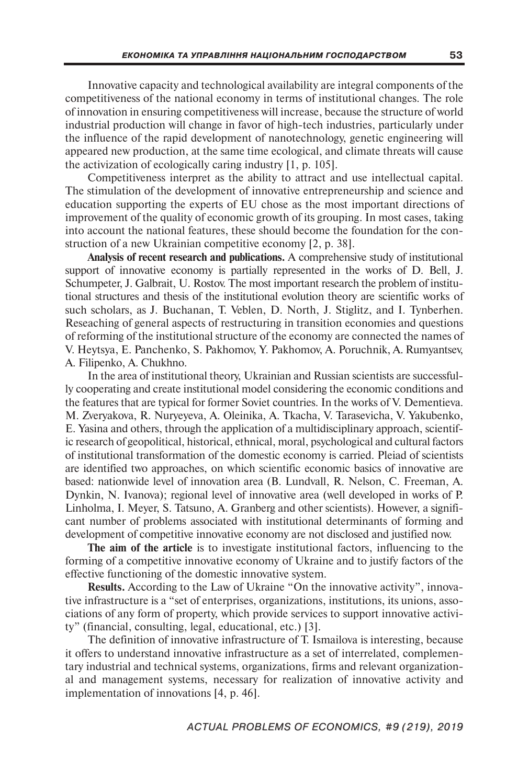Innovative capacity and technological availability are integral components of the competitiveness of the national economy in terms of institutional changes. The role of innovation in ensuring competitiveness will increase, because the structure of world industrial production will change in favor of high-tech industries, particularly under the influence of the rapid development of nanotechnology, genetic engineering will appeared new production, at the same time ecological, and climate threats will cause the activization of ecologically caring industry [1, p. 105].

Competitiveness interpret as the ability to attract and use intellectual capital. The stimulation of the development of innovative entrepreneurship and science and education supporting the experts of EU chose as the most important directions of improvement of the quality of economic growth of its grouping. In most cases, taking into account the national features, these should become the foundation for the construction of a new Ukrainian competitive economy [2, p. 38].

**Analysis of recent research and publications.** A comprehensive study of institutional support of innovative economy is partially represented in the works of D. Bell, J. Schumpeter, J. Galbrait, U. Rostov. The most important research the problem of institutional structures and thesis of the institutional evolution theory are scientific works of such scholars, as J. Buchanan, T. Veblen, D. North, J. Stiglitz, and I. Tynberhen. Reseaching of general aspects of restructuring in transition economies and questions of reforming of the institutional structure of the economy are connected the names of V. Heytsya, E. Panchenko, S. Pakhomov, Y. Pakhomov, A. Poruchnik, A. Rumyantsev, A. Filipenko, A. Chukhno.

In the area of institutional theory, Ukrainian and Russian scientists are successfully cooperating and create institutional model considering the economic conditions and the features that are typical for former Soviet countries. In the works of V. Dementieva. M. Zveryakova, R. Nuryeyeva, A. Oleinika, A. Tkacha, V. Tarasevicha, V. Yakubenko, E. Yasina and others, through the application of a multidisciplinary approach, scientific research of geopolitical, historical, ethnical, moral, psychological and cultural factors of institutional transformation of the domestic economy is carried. Pleiad of scientists are identified two approaches, on which scientific economic basics of innovative are based: nationwide level of innovation area (B. Lundvall, R. Nelson, C. Freeman, A. Dynkin, N. Ivanova); regional level of innovative area (well developed in works of P. Linholma, I. Meyer, S. Tatsuno, A. Granberg and other scientists). However, a significant number of problems associated with institutional determinants of forming and development of competitive innovative economy are not disclosed and justified now.

**The aim of the article** is to investigate institutional factors, influencing to the forming of a competitive innovative economy of Ukraine and to justify factors of the effective functioning of the domestic innovative system.

**Results.** According to the Law of Ukraine "On the innovative activity", innovative infrastructure is a "set of enterprises, organizations, institutions, its unions, associations of any form of property, which provide services to support innovative activity" (financial, consulting, legal, educational, etc.) [3].

The definition of innovative infrastructure of T. Ismailova is interesting, because it offers to understand innovative infrastructure as a set of interrelated, complementary industrial and technical systems, organizations, firms and relevant organizational and management systems, necessary for realization of innovative activity and implementation of innovations [4, p. 46].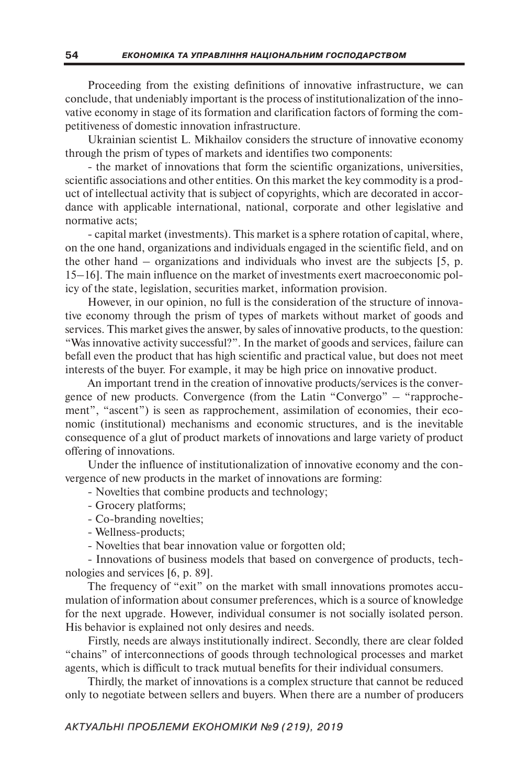Proceeding from the existing definitions of innovative infrastructure, we can conclude, that undeniably important is the process of institutionalization of the innovative economy in stage of its formation and clarification factors of forming the competitiveness of domestic innovation infrastructure.

Ukrainian scientist L. Mikhailov considers the structure of innovative economy through the prism of types of markets and identifies two components:

- the market of innovations that form the scientific organizations, universities, scientific associations and other entities. On this market the key commodity is a product of intellectual activity that is subject of copyrights, which are decorated in accordance with applicable international, national, corporate and other legislative and normative acts;

- capital market (investments). This market is a sphere rotation of capital, where, on the one hand, organizations and individuals engaged in the scientific field, and on the other hand – organizations and individuals who invest are the subjects [5, p. 15–16]. The main influence on the market of investments exert macroeconomic policy of the state, legislation, securities market, information provision.

However, in our opinion, no full is the consideration of the structure of innovative economy through the prism of types of markets without market of goods and services. This market gives the answer, by sales of innovative products, to the question: "Was innovative activity successful?". In the market of goods and services, failure can befall even the product that has high scientific and practical value, but does not meet interests of the buyer. For example, it may be high price on innovative product.

An important trend in the creation of innovative products/services is the convergence of new products. Convergence (from the Latin "Convergo" – "rapprochement", "ascent") is seen as rapprochement, assimilation of economies, their economic (institutional) mechanisms and economic structures, and is the inevitable consequence of a glut of product markets of innovations and large variety of product offering of innovations.

Under the influence of institutionalization of innovative economy and the convergence of new products in the market of innovations are forming:

- Novelties that combine products and technology;

- Grocery platforms;
- Co-branding novelties;
- Wellness-products;
- Novelties that bear innovation value or forgotten old;

- Innovations of business models that based on convergence of products, technologies and services [6, p. 89].

The frequency of "exit" on the market with small innovations promotes accumulation of information about consumer preferences, which is a source of knowledge for the next upgrade. However, individual consumer is not socially isolated person. His behavior is explained not only desires and needs.

Firstly, needs are always institutionally indirect. Secondly, there are clear folded "chains" of interconnections of goods through technological processes and market agents, which is difficult to track mutual benefits for their individual consumers.

Thirdly, the market of innovations is a complex structure that cannot be reduced only to negotiate between sellers and buyers. When there are a number of producers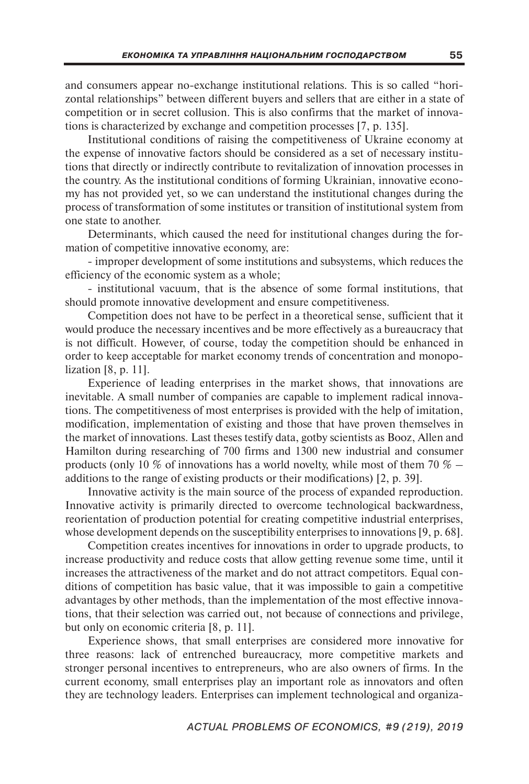and consumers appear no-exchange institutional relations. This is so called "horizontal relationships" between different buyers and sellers that are either in a state of competition or in secret collusion. This is also confirms that the market of innovations is characterized by exchange and competition processes [7, p. 135].

Institutional conditions of raising the competitiveness of Ukraine economy at the expense of innovative factors should be considered as a set of necessary institutions that directly or indirectly contribute to revitalization of innovation processes in the country. As the institutional conditions of forming Ukrainian, innovative economy has not provided yet, so we can understand the institutional changes during the process of transformation of some institutes or transition of institutional system from one state to another.

Determinants, which caused the need for institutional changes during the formation of competitive innovative economy, are:

- improper development of some institutions and subsystems, which reduces the efficiency of the economic system as a whole;

- institutional vacuum, that is the absence of some formal institutions, that should promote innovative development and ensure competitiveness.

Competition does not have to be perfect in a theoretical sense, sufficient that it would produce the necessary incentives and be more effectively as a bureaucracy that is not difficult. However, of course, today the competition should be enhanced in order to keep acceptable for market economy trends of concentration and monopolization [8, p. 11].

Experience of leading enterprises in the market shows, that innovations are inevitable. A small number of companies are capable to implement radical innovations. The competitiveness of most enterprises is provided with the help of imitation, modification, implementation of existing and those that have proven themselves in the market of innovations. Last theses testify data, gotby scientists as Booz, Allen and Hamilton during researching of 700 firms and 1300 new industrial and consumer products (only 10 % of innovations has a world novelty, while most of them 70  $\%$  – additions to the range of existing products or their modifications) [2, p. 39].

Innovative activity is the main source of the process of expanded reproduction. Innovative activity is primarily directed to overcome technological backwardness, reorientation of production potential for creating competitive industrial enterprises, whose development depends on the susceptibility enterprises to innovations [9, p. 68].

Competition creates incentives for innovations in order to upgrade products, to increase productivity and reduce costs that allow getting revenue some time, until it increases the attractiveness of the market and do not attract competitors. Equal conditions of competition has basic value, that it was impossible to gain a competitive advantages by other methods, than the implementation of the most effective innovations, that their selection was carried out, not because of connections and privilege, but only on economic criteria [8, p. 11].

Experience shows, that small enterprises are considered more innovative for three reasons: lack of entrenched bureaucracy, more competitive markets and stronger personal incentives to entrepreneurs, who are also owners of firms. In the current economy, small enterprises play an important role as innovators and often they are technology leaders. Enterprises can implement technological and organiza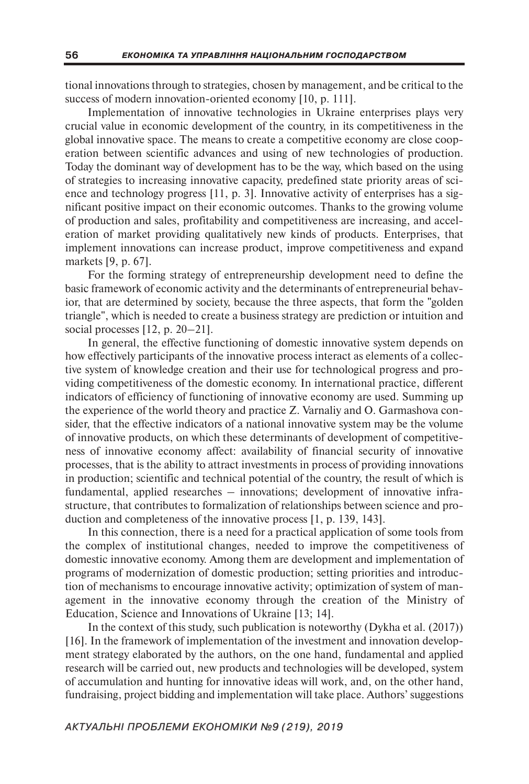tional innovations through to strategies, chosen by management, and be critical to the success of modern innovation-oriented economy [10, p. 111].

Implementation of innovative technologies in Ukraine enterprises plays very crucial value in economic development of the country, in its competitiveness in the global innovative space. The means to create a competitive economy are close cooperation between scientific advances and using of new technologies of production. Today the dominant way of development has to be the way, which based on the using of strategies to increasing innovative capacity, predefined state priority areas of science and technology progress  $[11, p. 3]$ . Innovative activity of enterprises has a significant positive impact on their economic outcomes. Thanks to the growing volume of production and sales, profitability and competitiveness are increasing, and acceleration of market providing qualitatively new kinds of products. Enterprises, that implement innovations can increase product, improve competitiveness and expand markets [9, p. 67].

For the forming strategy of entrepreneurship development need to define the basic framework of economic activity and the determinants of entrepreneurial behavior, that are determined by society, because the three aspects, that form the "golden triangle", which is needed to create a business strategy are prediction or intuition and social processes [12, p. 20–21].

In general, the effective functioning of domestic innovative system depends on how effectively participants of the innovative process interact as elements of a collective system of knowledge creation and their use for technological progress and providing competitiveness of the domestic economy. In international practice, different indicators of efficiency of functioning of innovative economy are used. Summing up the experience of the world theory and practice Z. Varnaliy and O. Garmashova consider, that the effective indicators of a national innovative system may be the volume of innovative products, on which these determinants of development of competitiveness of innovative economy affect: availability of financial security of innovative processes, that is the ability to attract investments in process of providing innovations in production; scientific and technical potential of the country, the result of which is fundamental, applied researches – innovations; development of innovative infrastructure, that contributes to formalization of relationships between science and production and completeness of the innovative process [1, p. 139, 143].

In this connection, there is a need for a practical application of some tools from the complex of institutional changes, needed to improve the competitiveness of domestic innovative economy. Among them are development and implementation of programs of modernization of domestic production; setting priorities and introduction of mechanisms to encourage innovative activity; optimization of system of management in the innovative economy through the creation of the Ministry of Education, Science and Innovations of Ukraine [13; 14].

In the context of this study, such publication is noteworthy (Dykha et al. (2017)) [16]. In the framework of implementation of the investment and innovation development strategy elaborated by the authors, on the one hand, fundamental and applied research will be carried out, new products and technologies will be developed, system of accumulation and hunting for innovative ideas will work, and, on the other hand, fundraising, project bidding and implementation will take place. Authors' suggestions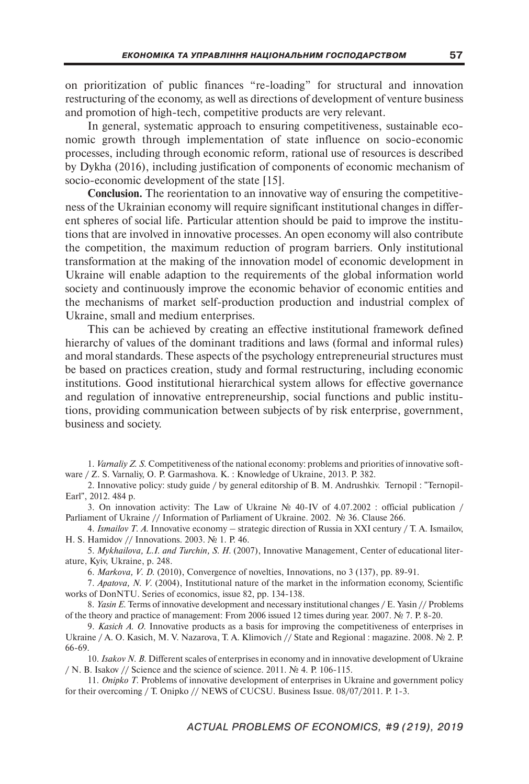on prioritization of public finances "re-loading" for structural and innovation restructuring of the economy, as well as directions of development of venture business and promotion of high-tech, competitive products are very relevant.

In general, systematic approach to ensuring competitiveness, sustainable economic growth through implementation of state influence on socio-economic processes, including through economic reform, rational use of resources is described by Dykha (2016), including justification of components of economic mechanism of socio-economic development of the state [15].

**Conclusion.** The reorientation to an innovative way of ensuring the competitiveness of the Ukrainian economy will require significant institutional changes in different spheres of social life. Particular attention should be paid to improve the institutions that are involved in innovative processes. An open economy will also contribute the competition, the maximum reduction of program barriers. Only institutional transformation at the making of the innovation model of economic development in Ukraine will enable adaption to the requirements of the global information world society and continuously improve the economic behavior of economic entities and the mechanisms of market self-production production and industrial complex of Ukraine, small and medium enterprises.

This can be achieved by creating an effective institutional framework defined hierarchy of values of the dominant traditions and laws (formal and informal rules) and moral standards. These aspects of the psychology entrepreneurial structures must be based on practices creation, study and formal restructuring, including economic institutions. Good institutional hierarchical system allows for effective governance and regulation of innovative entrepreneurship, social functions and public institutions, providing communication between subjects of by risk enterprise, government, business and society.

1. *Varnaliy Z. S.* Competitiveness of the national economy: problems and priorities of innovative software / Z. S. Varnaliy, O. P. Garmashova. K. : Knowledge of Ukraine, 2013. P. 382.

2. Innovative policy: study guide / by general editorship of B. M. Andrushkiv. Ternopil : "Ternopil-Earl", 2012. 484 p.

3. On innovation activity: The Law of Ukraine № 40-IV of 4.07.2002 : official publication / Parliament of Ukraine // Information of Parliament of Ukraine. 2002. № 36. Clause 266.

4. *Ismailov T. A.* Innovative economy – strategic direction of Russia in XXI century / T. A. Ismailov, H. S. Hamidov // Innovations. 2003. № 1. P. 46.

5. *Mykhailova, L.I. and Turchin, S. H.* (2007), Innovative Management, Center of educational literature, Kyiv, Ukraine, p. 248.

6. *Markova, V. D.* (2010), Convergence of novelties, Innovations, no 3 (137), pp. 89-91.

7. *Apatova, N. V.* (2004), Institutional nature of the market in the information economy, Scientific works of DonNTU. Series of economics, issue 82, pp. 134-138.

8. *Yasin E.* Terms of innovative development and necessary institutional changes / E. Yasin // Problems of the theory and practice of management: From 2006 issued 12 times during year. 2007. № 7. P. 8-20.

9. *Kasich A. O.* Innovative products as a basis for improving the competitiveness of enterprises in Ukraine / A. O. Kasich, M. V. Nazarova, T. A. Klimovich // State and Regional : magazine. 2008. № 2. P. 66-69.

10. *Isakov N. B.* Different scales of enterprises in economy and in innovative development of Ukraine / N. B. Isakov // Science and the science of science. 2011. № 4. P. 106-115.

11. *Onipko T.* Problems of innovative development of enterprises in Ukraine and government policy for their overcoming / T. Onipko // NEWS of CUCSU. Business Issue. 08/07/2011. P. 1-3.